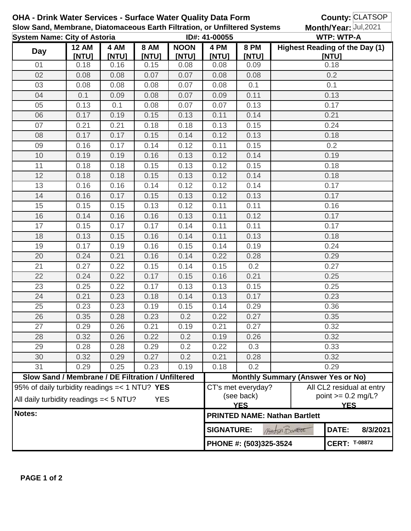| OHA - Drink Water Services - Surface Water Quality Data Form                              |                                                   |       |       |                   |                                    |                       | County: CLATSOP                                                  |                                                            |                           |  |
|-------------------------------------------------------------------------------------------|---------------------------------------------------|-------|-------|-------------------|------------------------------------|-----------------------|------------------------------------------------------------------|------------------------------------------------------------|---------------------------|--|
| Slow Sand, Membrane, Diatomaceous Earth Filtration, or Unfiltered Systems                 |                                                   |       |       |                   |                                    | Month/Year: Jul, 2021 |                                                                  |                                                            |                           |  |
| <b>System Name: City of Astoria</b><br><b>12 AM</b><br>4 AM<br><b>8 AM</b><br><b>NOON</b> |                                                   |       |       |                   | ID#: 41-00055<br>4 PM              | <b>8 PM</b>           |                                                                  | <b>WTP: WTP-A</b><br><b>Highest Reading of the Day (1)</b> |                           |  |
| <b>Day</b>                                                                                | [NTU]                                             | [NTU] | [NTU] | [NTU]             | [NTU]                              | [NTU]                 |                                                                  | [NTU]                                                      |                           |  |
| 01                                                                                        | 0.18                                              | 0.16  | 0.15  | 0.08              | 0.08                               | 0.09                  |                                                                  | 0.18                                                       |                           |  |
| 02                                                                                        | 0.08                                              | 0.08  | 0.07  | 0.07              | 0.08                               | 0.08                  |                                                                  | 0.2                                                        |                           |  |
| 03                                                                                        | 0.08                                              | 0.08  | 0.08  | 0.07              | 0.08                               | 0.1                   |                                                                  | 0.1                                                        |                           |  |
| 04                                                                                        | 0.1                                               | 0.09  | 0.08  | 0.07              | 0.09                               | 0.11                  | 0.13                                                             |                                                            |                           |  |
| 05                                                                                        | 0.13                                              | 0.1   | 0.08  | 0.07              | 0.07                               | 0.13                  |                                                                  | 0.17                                                       |                           |  |
| 06                                                                                        | 0.17                                              | 0.19  | 0.15  | 0.13              | 0.11                               | 0.14                  | 0.21                                                             |                                                            |                           |  |
| 07                                                                                        | 0.21                                              | 0.21  | 0.18  | 0.18              | 0.13                               | 0.15                  |                                                                  | 0.24                                                       |                           |  |
| 08                                                                                        | 0.17                                              | 0.17  | 0.15  | 0.14              | 0.12                               | 0.13                  | 0.18                                                             |                                                            |                           |  |
| 09                                                                                        | 0.16                                              | 0.17  | 0.14  | 0.12              | 0.11                               | 0.15                  | 0.2                                                              |                                                            |                           |  |
| 10                                                                                        | 0.19                                              | 0.19  | 0.16  | 0.13              | 0.12                               | 0.14                  |                                                                  | 0.19                                                       |                           |  |
| 11                                                                                        | 0.18                                              | 0.18  | 0.15  | 0.13              | 0.12                               | 0.15                  |                                                                  | 0.18                                                       |                           |  |
| 12                                                                                        | 0.18                                              | 0.18  | 0.15  | 0.13              | 0.12                               | 0.14                  |                                                                  | 0.18                                                       |                           |  |
| 13                                                                                        | 0.16                                              | 0.16  | 0.14  | 0.12              | 0.12                               | 0.14                  |                                                                  | 0.17                                                       |                           |  |
| 14                                                                                        | 0.16                                              | 0.17  | 0.15  | 0.13              | 0.12                               | 0.13                  |                                                                  | 0.17                                                       |                           |  |
| 15                                                                                        | 0.15                                              | 0.15  | 0.13  | 0.12              | 0.11                               | 0.11                  |                                                                  | 0.16                                                       |                           |  |
| 16                                                                                        | 0.14                                              | 0.16  | 0.16  | 0.13              | 0.11                               | 0.12                  |                                                                  | 0.17                                                       |                           |  |
| 17                                                                                        | 0.15                                              | 0.17  | 0.17  | 0.14              | 0.11                               | 0.11                  |                                                                  | 0.17                                                       |                           |  |
| 18                                                                                        | 0.13                                              | 0.15  | 0.16  | 0.14              | 0.11                               | 0.13                  |                                                                  | 0.18                                                       |                           |  |
| 19                                                                                        | 0.17                                              | 0.19  | 0.16  | 0.15              | 0.14                               | 0.19                  | 0.24                                                             |                                                            |                           |  |
| 20                                                                                        | 0.24                                              | 0.21  | 0.16  | 0.14              | 0.22                               | 0.28                  | 0.29                                                             |                                                            |                           |  |
| 21                                                                                        | 0.27                                              | 0.22  | 0.15  | 0.14              | 0.15                               | 0.2                   | 0.27                                                             |                                                            |                           |  |
| 22                                                                                        | 0.24                                              | 0.22  | 0.17  | 0.15              | 0.16                               | 0.21                  | 0.25                                                             |                                                            |                           |  |
| 23                                                                                        | 0.25                                              | 0.22  | 0.17  | 0.13              | 0.13                               | 0.15                  | 0.25                                                             |                                                            |                           |  |
| 24                                                                                        | 0.21                                              | 0.23  | 0.18  | 0.14              | 0.13                               | 0.17                  | 0.23                                                             |                                                            |                           |  |
| 25                                                                                        | 0.23                                              | 0.23  | 0.19  | 0.15              | 0.14                               | 0.29                  | 0.36                                                             |                                                            |                           |  |
| 26                                                                                        | 0.35                                              | 0.28  | 0.23  | 0.2               | 0.22                               | 0.27                  | 0.35                                                             |                                                            |                           |  |
| 27                                                                                        | 0.29                                              | 0.26  | 0.21  | 0.19              | 0.21                               | 0.27                  | 0.32                                                             |                                                            |                           |  |
| 28                                                                                        | 0.32                                              | 0.26  | 0.22  | 0.2               | 0.19                               | 0.26                  | 0.32                                                             |                                                            |                           |  |
| 29                                                                                        | 0.28                                              | 0.28  | 0.29  | 0.2               | 0.22                               | 0.3                   | 0.33                                                             |                                                            |                           |  |
| 30                                                                                        | 0.32                                              | 0.29  | 0.27  | 0.2               | 0.21                               | 0.28                  | 0.32                                                             |                                                            |                           |  |
| 31                                                                                        | 0.29                                              | 0.25  | 0.23  | 0.19              | 0.18                               | 0.2                   | 0.29                                                             |                                                            |                           |  |
| Slow Sand / Membrane / DE Filtration / Unfiltered                                         |                                                   |       |       |                   |                                    |                       | <b>Monthly Summary (Answer Yes or No)</b>                        |                                                            |                           |  |
|                                                                                           | 95% of daily turbidity readings $=< 1 N T U?$ YES |       |       |                   |                                    | CT's met everyday?    |                                                                  |                                                            | All CL2 residual at entry |  |
| All daily turbidity readings = < 5 NTU?<br><b>YES</b>                                     |                                                   |       |       |                   | (see back)<br>point $>= 0.2$ mg/L? |                       |                                                                  |                                                            |                           |  |
| Notes:                                                                                    |                                                   |       |       |                   |                                    |                       | <b>YES</b><br><b>YES</b><br><b>PRINTED NAME: Nathan Bartlett</b> |                                                            |                           |  |
|                                                                                           |                                                   |       |       | <b>SIGNATURE:</b> |                                    | Autur Dancett         | DATE:                                                            | 8/3/2021                                                   |                           |  |
|                                                                                           |                                                   |       |       |                   | PHONE #: (503)325-3524             |                       |                                                                  | <b>CERT: T-08872</b>                                       |                           |  |